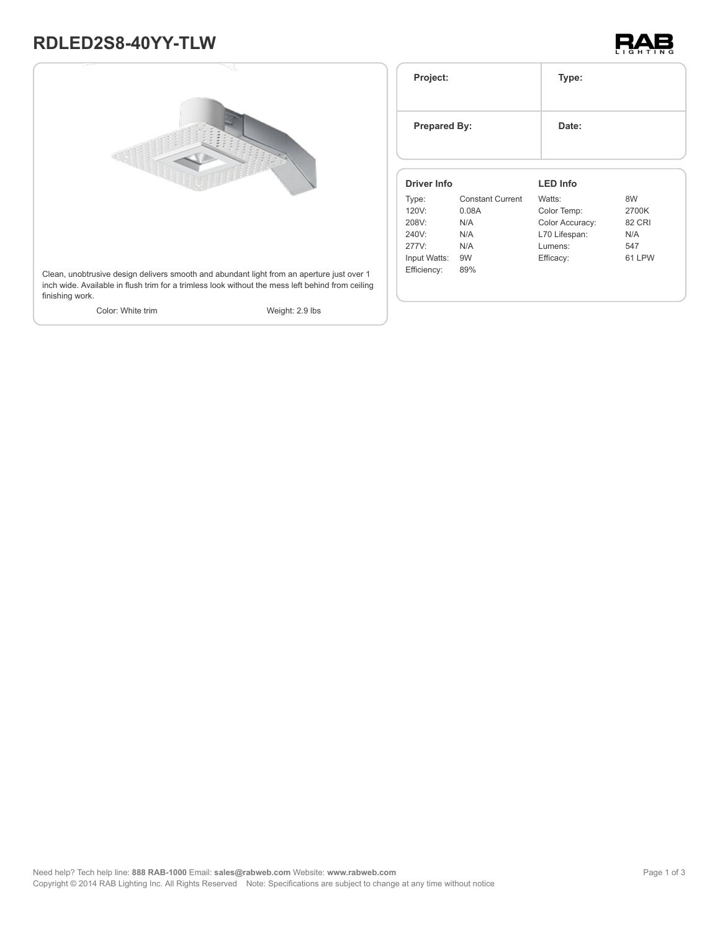## **RDLED2S8-40YY-TLW**





| Project:            |                         | Type:           |               |
|---------------------|-------------------------|-----------------|---------------|
| <b>Prepared By:</b> |                         | Date:           |               |
| Driver Info         |                         | <b>LED Info</b> |               |
| Type:               | <b>Constant Current</b> | Watts:          | 8W            |
| 120V:               | 0.08A                   | Color Temp:     | 2700K         |
| 208V:               | N/A                     | Color Accuracy: | <b>82 CRI</b> |
|                     | N/A                     | L70 Lifespan:   | N/A           |
|                     |                         |                 |               |
| 240V:<br>277V:      | N/A                     | Lumens:         | 547           |
| Input Watts:        | 9W                      | Efficacy:       | 61 LPW        |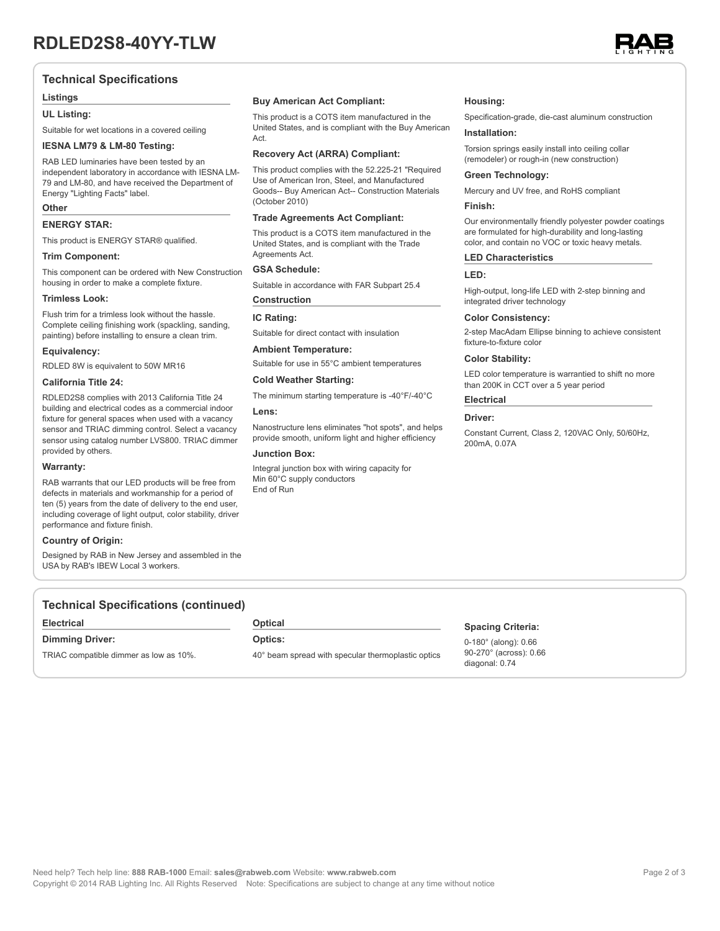

#### **Technical Specifications**

#### **Listings**

#### **UL Listing:**

Suitable for wet locations in a covered ceiling

#### **IESNA LM79 & LM-80 Testing:**

RAB LED luminaries have been tested by an independent laboratory in accordance with IESNA LM-79 and LM-80, and have received the Department of Energy "Lighting Facts" label.

#### **Other**

#### **ENERGY STAR:**

This product is ENERGY STAR® qualified.

#### **Trim Component:**

This component can be ordered with New Construction housing in order to make a complete fixture.

#### **Trimless Look:**

Flush trim for a trimless look without the hassle. Complete ceiling finishing work (spackling, sanding, painting) before installing to ensure a clean trim.

#### **Equivalency:**

RDLED 8W is equivalent to 50W MR16

#### **California Title 24:**

RDLED2S8 complies with 2013 California Title 24 building and electrical codes as a commercial indoor fixture for general spaces when used with a vacancy sensor and TRIAC dimming control. Select a vacancy sensor using catalog number LVS800. TRIAC dimmer provided by others.

#### **Warranty:**

RAB warrants that our LED products will be free from defects in materials and workmanship for a period of ten (5) years from the date of delivery to the end user, including coverage of light output, color stability, driver performance and fixture finish.

#### **Country of Origin:**

Designed by RAB in New Jersey and assembled in the USA by RAB's IBEW Local 3 workers.

#### **Buy American Act Compliant:**

This product is a COTS item manufactured in the United States, and is compliant with the Buy American Act.

#### **Recovery Act (ARRA) Compliant:**

This product complies with the 52.225-21 "Required Use of American Iron, Steel, and Manufactured Goods-- Buy American Act-- Construction Materials (October 2010)

#### **Trade Agreements Act Compliant:**

This product is a COTS item manufactured in the United States, and is compliant with the Trade Agreements Act.

#### **GSA Schedule:**

Suitable in accordance with FAR Subpart 25.4

#### **Construction**

#### **IC Rating:**

Suitable for direct contact with insulation

#### **Ambient Temperature:**

Suitable for use in 55°C ambient temperatures

### **Cold Weather Starting:**

The minimum starting temperature is -40°F/-40°C

#### **Lens:**

Nanostructure lens eliminates "hot spots", and helps provide smooth, uniform light and higher efficiency

#### **Junction Box:**

Integral junction box with wiring capacity for Min 60°C supply conductors End of Run

#### **Housing:**

Specification-grade, die-cast aluminum construction

#### **Installation:**

Torsion springs easily install into ceiling collar (remodeler) or rough-in (new construction)

#### **Green Technology:**

Mercury and UV free, and RoHS compliant

#### **Finish:**

Our environmentally friendly polyester powder coatings are formulated for high-durability and long-lasting color, and contain no VOC or toxic heavy metals.

#### **LED Characteristics**

#### **LED:**

High-output, long-life LED with 2-step binning and integrated driver technology

#### **Color Consistency:**

2-step MacAdam Ellipse binning to achieve consistent fixture-to-fixture color

#### **Color Stability:**

LED color temperature is warrantied to shift no more than 200K in CCT over a 5 year period

#### **Electrical**

#### **Driver:**

Constant Current, Class 2, 120VAC Only, 50/60Hz, 200mA, 0.07A

#### **Technical Specifications (continued)**

#### **Electrical**

**Dimming Driver:**

TRIAC compatible dimmer as low as 10%.

**Optical**

#### **Optics:**

40° beam spread with specular thermoplastic optics

#### **Spacing Criteria:**

0-180° (along): 0.66 90-270° (across): 0.66 diagonal: 0.74